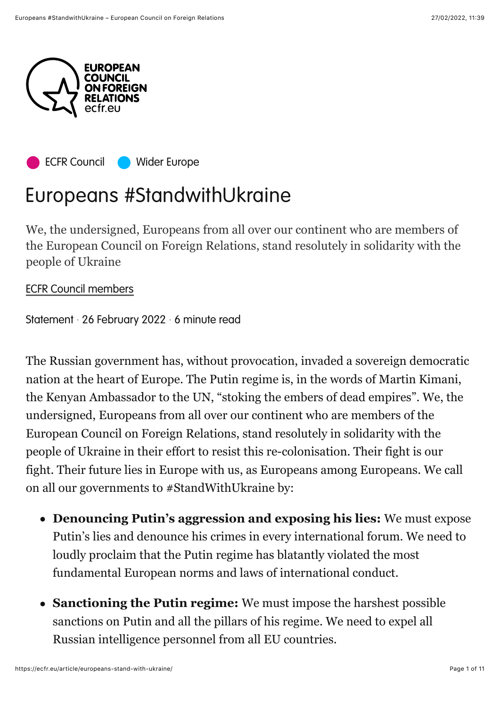

[ECFR Council](https://ecfr.eu/council/) **No. 25 Mider Europe** 

# Europeans #StandwithUkraine

We, the undersigned, Europeans from all over our continent who are members of the European Council on Foreign Relations, stand resolutely in solidarity with the people of Ukraine

#### [ECFR Council members](https://ecfr.eu/profile/council-members/)

[Statement](https://ecfr.eu/?taxonomy=article_format&term=statement)  $\cdot$  26 February 2022  $\cdot$  6 minute read

The Russian government has, without provocation, invaded a sovereign democratic nation at the heart of Europe. The Putin regime is, in the words of Martin Kimani, the Kenyan Ambassador to the UN, "stoking the embers of dead empires". We, the undersigned, Europeans from all over our continent who are members of the European Council on Foreign Relations, stand resolutely in solidarity with the people of Ukraine in their effort to resist this re-colonisation. Their fight is our fight. Their future lies in Europe with us, as Europeans among Europeans. We call on all our governments to #StandWithUkraine by:

- **Denouncing Putin's aggression and exposing his lies:** We must expose Putin's lies and denounce his crimes in every international forum. We need to loudly proclaim that the Putin regime has blatantly violated the most fundamental European norms and laws of international conduct.
- **Sanctioning the Putin regime:** We must impose the harshest possible sanctions on Putin and all the pillars of his regime. We need to expel all Russian intelligence personnel from all EU countries.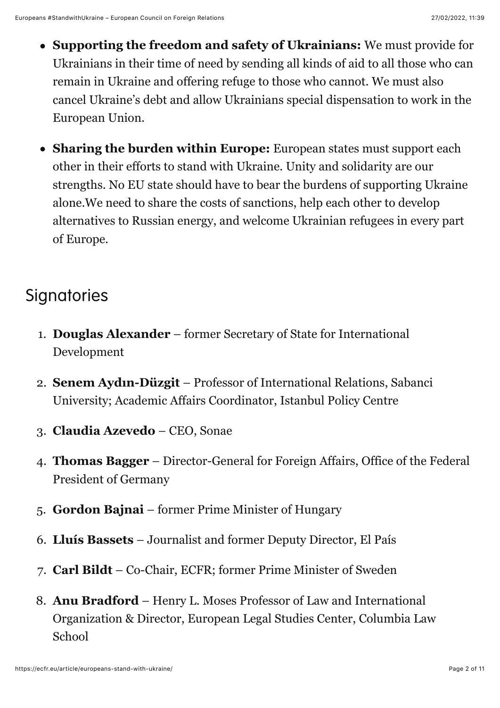- **Supporting the freedom and safety of Ukrainians:** We must provide for Ukrainians in their time of need by sending all kinds of aid to all those who can remain in Ukraine and offering refuge to those who cannot. We must also cancel Ukraine's debt and allow Ukrainians special dispensation to work in the European Union.
- **Sharing the burden within Europe:** European states must support each other in their efforts to stand with Ukraine. Unity and solidarity are our strengths. No EU state should have to bear the burdens of supporting Ukraine alone.We need to share the costs of sanctions, help each other to develop alternatives to Russian energy, and welcome Ukrainian refugees in every part of Europe.

# **Signatories**

- 1. **Douglas Alexander** former Secretary of State for International Development
- 2. **Senem Aydın-Düzgit** Professor of International Relations, Sabanci University; Academic Affairs Coordinator, Istanbul Policy Centre
- 3. **Claudia Azevedo** CEO, Sonae
- 4. **Thomas Bagger** Director-General for Foreign Affairs, Office of the Federal President of Germany
- 5. **Gordon Bajnai** former Prime Minister of Hungary
- 6. **Lluís Bassets** Journalist and former Deputy Director, El País
- 7. **Carl Bildt** Co-Chair, ECFR; former Prime Minister of Sweden
- 8. **Anu Bradford** Henry L. Moses Professor of Law and International Organization & Director, European Legal Studies Center, Columbia Law School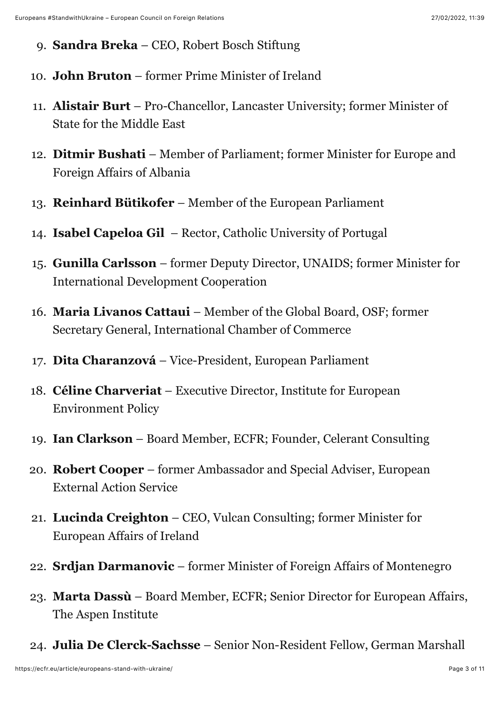- 9. **Sandra Breka** CEO, Robert Bosch Stiftung
- 10. **John Bruton** former Prime Minister of Ireland
- 11. **Alistair Burt** Pro-Chancellor, Lancaster University; former Minister of State for the Middle East
- 12. **Ditmir Bushati** Member of Parliament; former Minister for Europe and Foreign Affairs of Albania
- 13. **Reinhard Bütikofer** Member of the European Parliament
- 14. **Isabel Capeloa Gil**  Rector, Catholic University of Portugal
- 15. **Gunilla Carlsson** former Deputy Director, UNAIDS; former Minister for International Development Cooperation
- 16. **Maria Livanos Cattaui**  Member of the Global Board, OSF; former Secretary General, International Chamber of Commerce
- 17. **Dita Charanzová** Vice-President, European Parliament
- 18. **Céline Charveriat** Executive Director, Institute for European Environment Policy
- 19. **Ian Clarkson** Board Member, ECFR; Founder, Celerant Consulting
- 20. **Robert Cooper** former Ambassador and Special Adviser, European External Action Service
- 21. **Lucinda Creighton** CEO, Vulcan Consulting; former Minister for European Affairs of Ireland
- 22. **Srdjan Darmanovic** former Minister of Foreign Affairs of Montenegro
- 23. **Marta Dassù** Board Member, ECFR; Senior Director for European Affairs, The Aspen Institute
- 24. **Julia De Clerck-Sachsse** Senior Non-Resident Fellow, German Marshall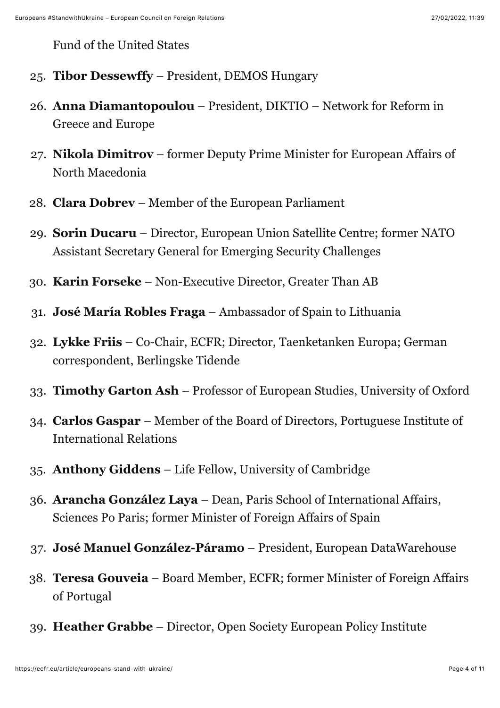Fund of the United States

- 25. **Tibor Dessewffy** President, DEMOS Hungary
- 26. **Anna Diamantopoulou** President, DIKTIO Network for Reform in Greece and Europe
- 27. **Nikola Dimitrov** former Deputy Prime Minister for European Affairs of North Macedonia
- 28. **Clara Dobrev** Member of the European Parliament
- 29. **Sorin Ducaru** Director, European Union Satellite Centre; former NATO Assistant Secretary General for Emerging Security Challenges
- 30. **Karin Forseke** Non-Executive Director, Greater Than AB
- 31. **José María Robles Fraga** Ambassador of Spain to Lithuania
- 32. **Lykke Friis** Co-Chair, ECFR; Director, Taenketanken Europa; German correspondent, Berlingske Tidende
- 33. **Timothy Garton Ash** Professor of European Studies, University of Oxford
- 34. **Carlos Gaspar** Member of the Board of Directors, Portuguese Institute of International Relations
- 35. **Anthony Giddens** Life Fellow, University of Cambridge
- 36. **Arancha González Laya** Dean, Paris School of International Affairs, Sciences Po Paris; former Minister of Foreign Affairs of Spain
- 37. **José Manuel González-Páramo** President, European DataWarehouse
- 38. **Teresa Gouveia** Board Member, ECFR; former Minister of Foreign Affairs of Portugal
- 39. **Heather Grabbe** Director, Open Society European Policy Institute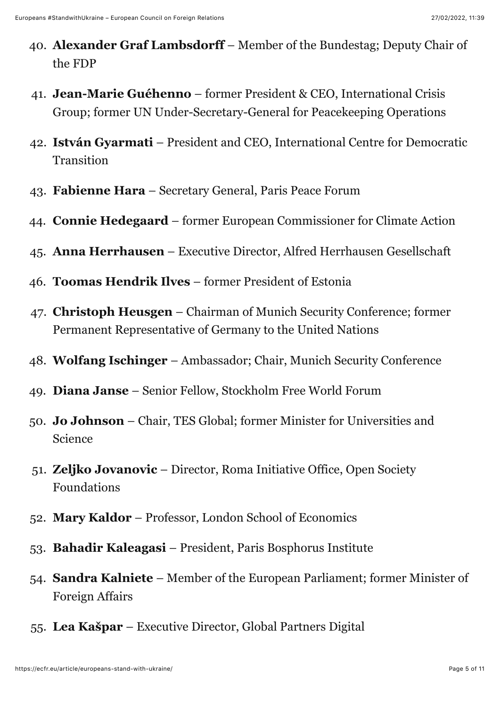- 40. **Alexander Graf Lambsdorff** Member of the Bundestag; Deputy Chair of the FDP
- 41. **Jean-Marie Guéhenno** former President & CEO, International Crisis Group; former UN Under-Secretary-General for Peacekeeping Operations
- 42. **István Gyarmati** President and CEO, International Centre for Democratic Transition
- 43. **Fabienne Hara** Secretary General, Paris Peace Forum
- 44. **Connie Hedegaard** former European Commissioner for Climate Action
- 45. **Anna Herrhausen** Executive Director, Alfred Herrhausen Gesellschaft
- 46. **Toomas Hendrik Ilves** former President of Estonia
- 47. **Christoph Heusgen** Chairman of Munich Security Conference; former Permanent Representative of Germany to the United Nations
- 48. **Wolfang Ischinger** Ambassador; Chair, Munich Security Conference
- 49. **Diana Janse** Senior Fellow, Stockholm Free World Forum
- 50. **Jo Johnson** Chair, TES Global; former Minister for Universities and Science
- 51. **Zeljko Jovanovic** Director, Roma Initiative Office, Open Society Foundations
- 52. **Mary Kaldor** Professor, London School of Economics
- 53. **Bahadir Kaleagasi** President, Paris Bosphorus Institute
- 54. **Sandra Kalniete** Member of the European Parliament; former Minister of Foreign Affairs
- 55. **Lea Kašpar** Executive Director, Global Partners Digital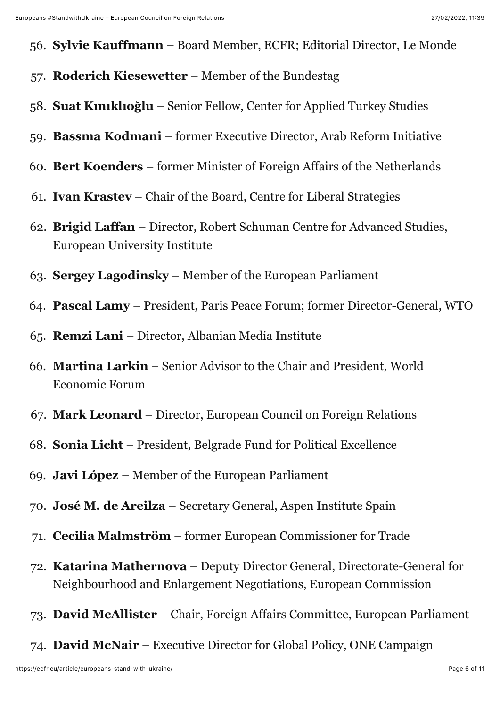- 56. **Sylvie Kauffmann** Board Member, ECFR; Editorial Director, Le Monde
- 57. **Roderich Kiesewetter** Member of the Bundestag
- 58. **Suat Kınıklıoğlu** Senior Fellow, Center for Applied Turkey Studies
- 59. **Bassma Kodmani** former Executive Director, Arab Reform Initiative
- 60. **Bert Koenders** former Minister of Foreign Affairs of the Netherlands
- 61. **Ivan Krastev** Chair of the Board, Centre for Liberal Strategies
- 62. **Brigid Laffan** Director, Robert Schuman Centre for Advanced Studies, European University Institute
- 63. **Sergey Lagodinsky** Member of the European Parliament
- 64. **Pascal Lamy** President, Paris Peace Forum; former Director-General, WTO
- 65. **Remzi Lani** Director, Albanian Media Institute
- 66. **Martina Larkin** Senior Advisor to the Chair and President, World Economic Forum
- 67. **Mark Leonard** Director, European Council on Foreign Relations
- 68. **Sonia Licht** President, Belgrade Fund for Political Excellence
- 69. **Javi López**  Member of the European Parliament
- 70. **José M. de Areilza** Secretary General, Aspen Institute Spain
- 71. **Cecilia Malmström** former European Commissioner for Trade
- 72. **Katarina Mathernova** Deputy Director General, Directorate-General for Neighbourhood and Enlargement Negotiations, European Commission
- 73. **David McAllister** Chair, Foreign Affairs Committee, European Parliament
- 74. **David McNair** Executive Director for Global Policy, ONE Campaign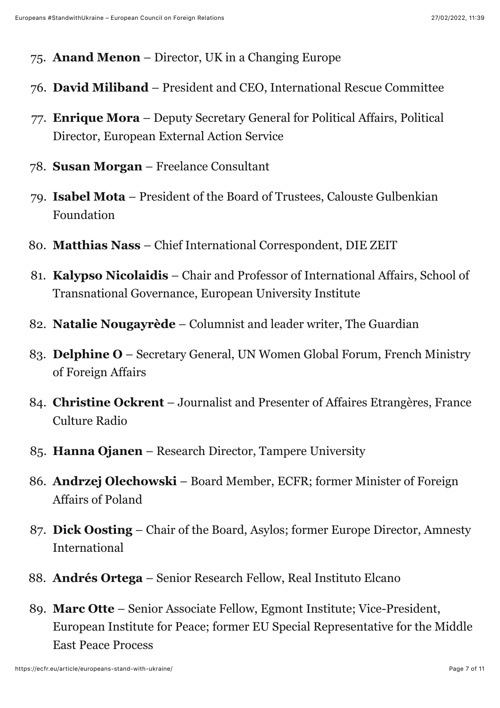- 75. **Anand Menon** Director, UK in a Changing Europe
- 76. **David Miliband** President and CEO, International Rescue Committee
- 77. **Enrique Mora** Deputy Secretary General for Political Affairs, Political Director, European External Action Service
- 78. **Susan Morgan** Freelance Consultant
- 79. **Isabel Mota** President of the Board of Trustees, Calouste Gulbenkian Foundation
- 80. **Matthias Nass** Chief International Correspondent, DIE ZEIT
- 81. **Kalypso Nicolaidis** Chair and Professor of International Affairs, School of Transnational Governance, European University Institute
- 82. **Natalie Nougayrède** Columnist and leader writer, The Guardian
- 83. **Delphine O** Secretary General, UN Women Global Forum, French Ministry of Foreign Affairs
- 84. **Christine Ockrent** Journalist and Presenter of Affaires Etrangères, France Culture Radio
- 85. **Hanna Ojanen** Research Director, Tampere University
- 86. **Andrzej Olechowski** Board Member, ECFR; former Minister of Foreign Affairs of Poland
- 87. **Dick Oosting** Chair of the Board, Asylos; former Europe Director, Amnesty International
- 88. **Andrés Ortega** Senior Research Fellow, Real Instituto Elcano
- 89. **Marc Otte** Senior Associate Fellow, Egmont Institute; Vice-President, European Institute for Peace; former EU Special Representative for the Middle East Peace Process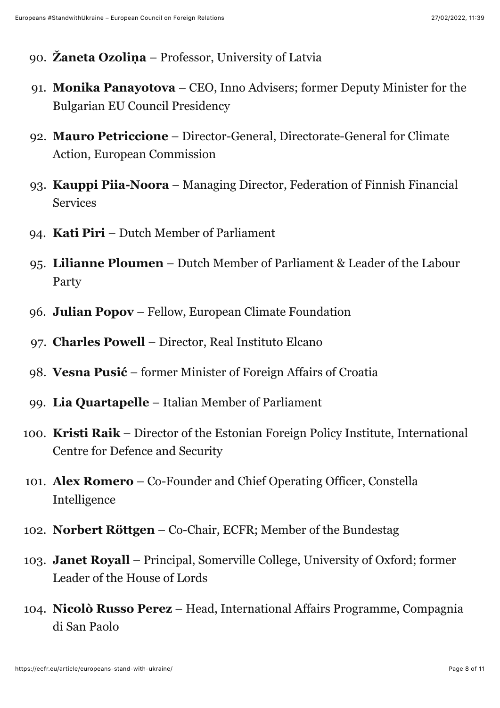- 90. **Žaneta Ozoliņa** Professor, University of Latvia
- 91. **Monika Panayotova** CEO, Inno Advisers; former Deputy Minister for the Bulgarian EU Council Presidency
- 92. **Mauro Petriccione** Director-General, Directorate-General for Climate Action, European Commission
- 93. **Kauppi Piia-Noora** Managing Director, Federation of Finnish Financial Services
- 94. **Kati Piri** Dutch Member of Parliament
- 95. **Lilianne Ploumen** Dutch Member of Parliament & Leader of the Labour Party
- 96. **Julian Popov** Fellow, European Climate Foundation
- 97. **Charles Powell** Director, Real Instituto Elcano
- 98. **Vesna Pusić** former Minister of Foreign Affairs of Croatia
- 99. **Lia Quartapelle** Italian Member of Parliament
- 100. **Kristi Raik** Director of the Estonian Foreign Policy Institute, International Centre for Defence and Security
- 101. **Alex Romero** Co-Founder and Chief Operating Officer, Constella Intelligence
- 102. **Norbert Röttgen** Co-Chair, ECFR; Member of the Bundestag
- 103. **Janet Royall** Principal, Somerville College, University of Oxford; former Leader of the House of Lords
- 104. **Nicolò Russo Perez** Head, International Affairs Programme, Compagnia di San Paolo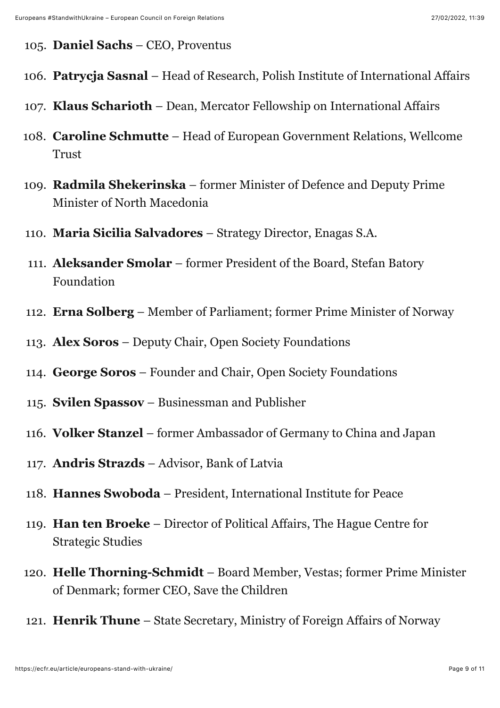- 105. **Daniel Sachs** CEO, Proventus
- 106. **Patrycja Sasnal** Head of Research, Polish Institute of International Affairs
- 107. **Klaus Scharioth** Dean, Mercator Fellowship on International Affairs
- 108. **Caroline Schmutte** Head of European Government Relations, Wellcome Trust
- 109. **Radmila Shekerinska** former Minister of Defence and Deputy Prime Minister of North Macedonia
- 110. **Maria Sicilia Salvadores** Strategy Director, Enagas S.A.
- 111. **Aleksander Smolar** former President of the Board, Stefan Batory Foundation
- 112. **Erna Solberg** Member of Parliament; former Prime Minister of Norway
- 113. **Alex Soros** Deputy Chair, Open Society Foundations
- 114. **George Soros** Founder and Chair, Open Society Foundations
- 115. **Svilen Spassov** Businessman and Publisher
- 116. **Volker Stanzel** former Ambassador of Germany to China and Japan
- 117. **Andris Strazds** Advisor, Bank of Latvia
- 118. **Hannes Swoboda** President, International Institute for Peace
- 119. **Han ten Broeke** Director of Political Affairs, The Hague Centre for Strategic Studies
- 120. **Helle Thorning-Schmidt** Board Member, Vestas; former Prime Minister of Denmark; former CEO, Save the Children
- 121. **Henrik Thune** State Secretary, Ministry of Foreign Affairs of Norway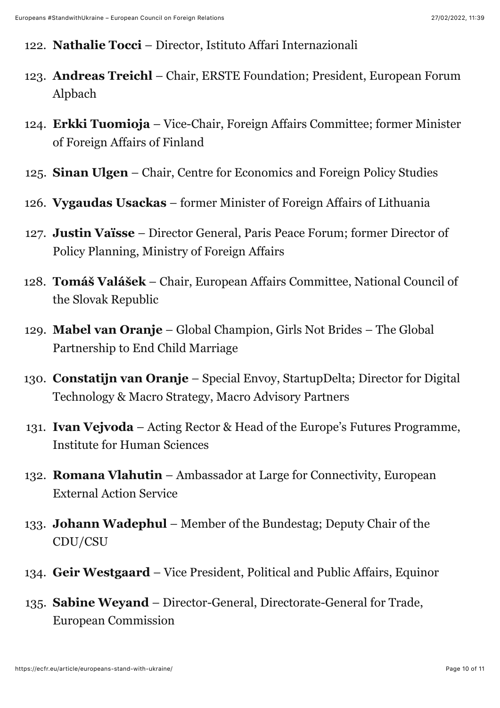#### 122. **Nathalie Tocci** – Director, Istituto Affari Internazionali

- 123. **Andreas Treichl** Chair, ERSTE Foundation; President, European Forum Alpbach
- 124. **Erkki Tuomioja** Vice-Chair, Foreign Affairs Committee; former Minister of Foreign Affairs of Finland
- 125. **Sinan Ulgen** Chair, Centre for Economics and Foreign Policy Studies
- 126. **Vygaudas Usackas** former Minister of Foreign Affairs of Lithuania
- 127. **Justin Vaïsse** Director General, Paris Peace Forum; former Director of Policy Planning, Ministry of Foreign Affairs
- 128. **Tomáš Valášek** Chair, European Affairs Committee, National Council of the Slovak Republic
- 129. **Mabel van Oranje** Global Champion, Girls Not Brides The Global Partnership to End Child Marriage
- 130. **Constatijn van Oranje** Special Envoy, StartupDelta; Director for Digital Technology & Macro Strategy, Macro Advisory Partners
- 131. **Ivan Vejvoda** Acting Rector & Head of the Europe's Futures Programme, Institute for Human Sciences
- 132. **Romana Vlahutin** Ambassador at Large for Connectivity, European External Action Service
- 133. **Johann Wadephul** Member of the Bundestag; Deputy Chair of the CDU/CSU
- 134. **Geir Westgaard** Vice President, Political and Public Affairs, Equinor
- 135. **Sabine Weyand** Director-General, Directorate-General for Trade, European Commission